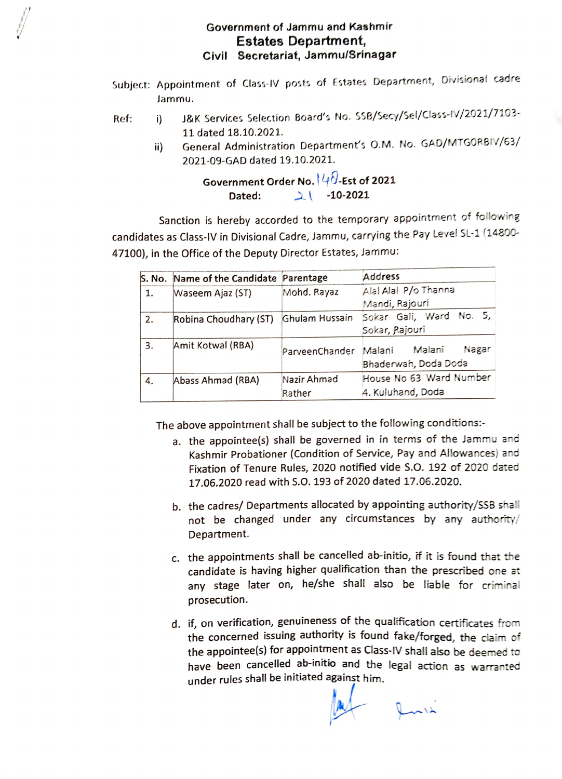## Government of Jammu and Kashmir **Estates Department.** Civil Secretariat, Jammu/Srinagar

- Subject: Appointment of Class-IV posts of Estates Department, Divisional cadre Jammu.
- J&K Services Selection Board's No. SSB/Secy/Sel/Class-IV/2021/7103-Ref: i) 11 dated 18.10.2021.
	- General Administration Department's O.M. No. GAD/MTG0RBIV/63/ ii) 2021-09-GAD dated 19.10.2021.

Government Order No.  $49$ -Est of 2021<br>Dated: **2021** -10-2021

Sanction is hereby accorded to the temporary appointment of following candidates as Class-IV in Divisional Cadre, Jammu, carrying the Pay Level SL-1 (14800-47100), in the Office of the Deputy Director Estates, Jammu:

|    | S. No. Name of the Candidate Parentage |                       | Address                                           |
|----|----------------------------------------|-----------------------|---------------------------------------------------|
| 1. | Waseem Ajaz (ST)                       | Mohd. Rayaz           | Alal Alal P/o Thanna<br>Mandi, Rajouri            |
| 2. | Robina Choudhary (ST)                  | Ghulam Hussain        | Sokar Gali, Ward No. 5,<br>Sokar, Rajouri         |
| 3. | Amit Kotwal (RBA)                      | ParveenChander        | Malani<br>Nagar<br>Malani<br>Bhaderwah, Doda Doda |
| 4. | Abass Ahmad (RBA)                      | Nazir Ahmad<br>Rather | House No 63 Ward Number<br>4. Kuluhand, Doda      |

The above appointment shall be subject to the following conditions:-

- a. the appointee(s) shall be governed in in terms of the Jammu and Kashmir Probationer (Condition of Service, Pay and Allowances) and Fixation of Tenure Rules, 2020 notified vide S.O. 192 of 2020 dated 17.06.2020 read with S.O. 193 of 2020 dated 17.06.2020.
- b. the cadres/ Departments allocated by appointing authority/SSB shall not be changed under any circumstances by any authority/ Department.
- c. the appointments shall be cancelled ab-initio, if it is found that the candidate is having higher qualification than the prescribed one at any stage later on, he/she shall also be liable for criminal prosecution.
- d. if, on verification, genuineness of the qualification certificates from the concerned issuing authority is found fake/forged, the claim of the appointee(s) for appointment as Class-IV shall also be deemed to have been cancelled ab-initio and the legal action as warranted under rules shall be initiated against him.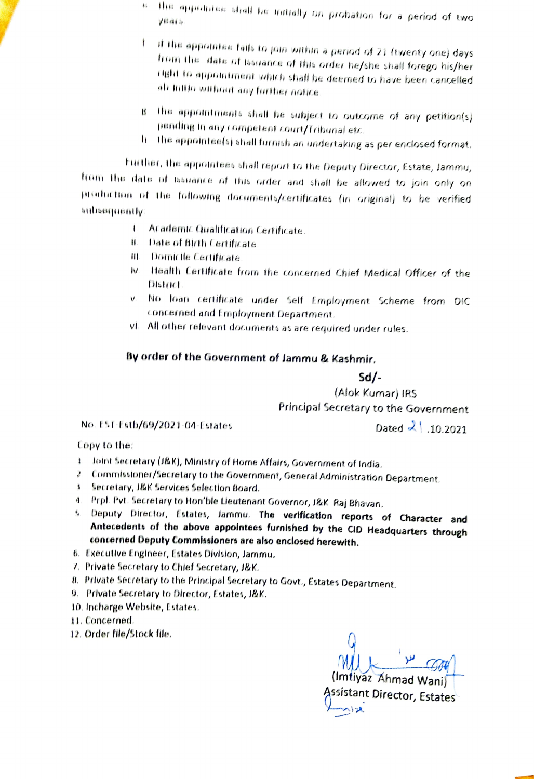- $\kappa$  . The appointee shall be initially on probation for a period of two
- If the appointee fails to join within a period of 21 (twenty one) days ŧ. from the date of issuance of this order he/she shall forego his/her right to appointment which shall be deemed to have been cancelled ab initio without any further notice.
- **B** The appointments shall be subject to outcome of any petition(s) pending in any competent court/Tribunal etc.
- h The appointee(s) shall furnish an undertaking as per enclosed format.

Further, the appointees shall report to the Deputy Director, Estate, Jammu, from the date of issuance of this order and shall be allowed to join only on production of the following documents/certificates (in original) to be verified subsequently.

- $\mathbf{I}$ **Academic Qualification Certificate.**
- Ħ. **Date of Birth Certificate.**
- III. Domicile Certificate.
- Iv Health Certificate from the concerned Chief Medical Officer of the **District.**
- V. No loan certificate under Self Employment Scheme from DIC concerned and Employment Department.
- vi. All other relevant documents as are required under rules.

## By order of the Government of Jammu & Kashmir.

 $Sd/-$ 

(Alok Kumar) IRS Principal Secretary to the Government

No. EST-Estb/69/2021-04-Estates

Dated  $21.10.2021$ 

Copy to the:

- 1. Joint Secretary (J&K), Ministry of Home Affairs, Government of India.
- 2. Commissioner/Secretary to the Government, General Administration Department.
- 3. Secretary, J&K Services Selection Board.
- 4. Prpl. Pvt. Secretary to Hon'ble Lieutenant Governor, J&K Raj Bhavan.
- 5. Deputy Director, Estates, Jammu. The verification reports of Character and Antecedents of the above appointees furnished by the CID Headquarters through concerned Deputy Commissioners are also enclosed herewith.
- 6. Executive Engineer, Estates Division, Jammu.
- 7. Private Secretary to Chief Secretary, J&K.
- 8. Private Secretary to the Principal Secretary to Govt., Estates Department.
- 9. Private Secretary to Director, Estates, J&K.
- 10. Incharge Website, Estates.
- 11. Concerned.
- 12. Order file/Stock file.

(Imtiyaz Ahmad Wani)

ssistant Director, Estates